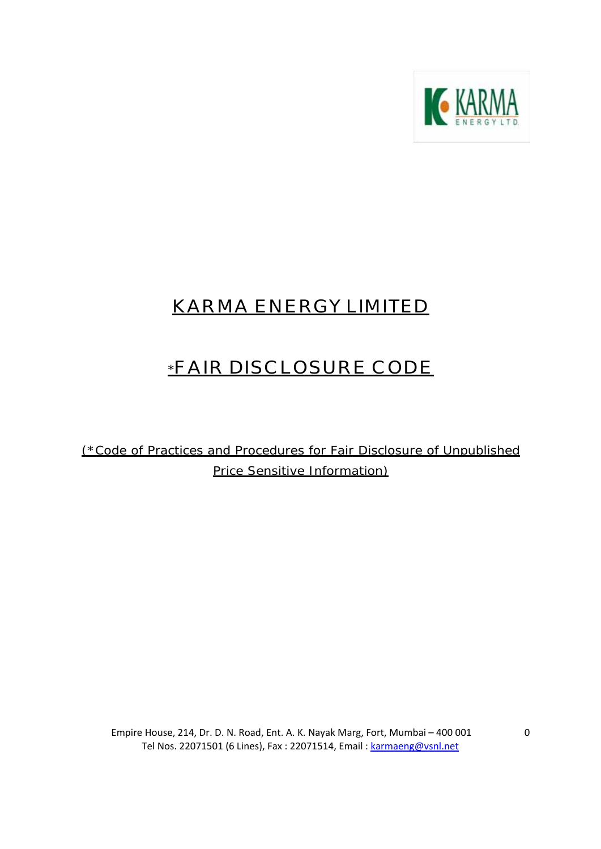

# **KARMA ENERGY LIMITED**

# **\*FAIR DISCLOSURE CODE**

(\*Code of Practices and Procedures for Fair Disclosure of Unpublished Price Sensitive Information)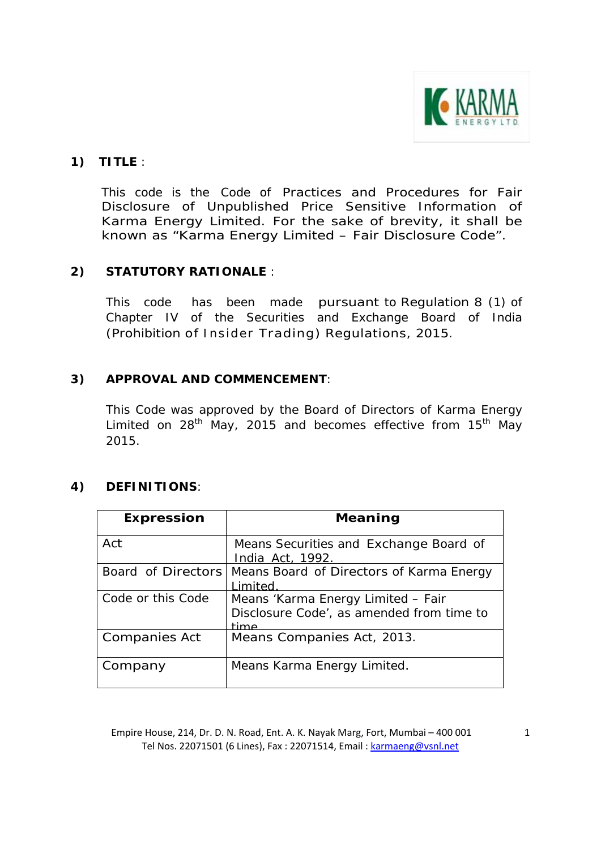

## **1) TITLE** :

This code is the Code of Practices and Procedures for Fair Disclosure of Unpublished Price Sensitive Information of Karma Energy Limited. For the sake of brevity, it shall be known as "Karma Energy Limited – Fair Disclosure Code".

## **2) STATUTORY RATIONALE** :

 This code has been made pursuant to Regulation 8 (1) of Chapter IV of the Securities and Exchange Board of India (Prohibition of Insider Trading) Regulations, 2015.

## **3) APPROVAL AND COMMENCEMENT**:

This Code was approved by the Board of Directors of Karma Energy Limited on  $28<sup>th</sup>$  May, 2015 and becomes effective from 15<sup>th</sup> May 2015.

## **4) DEFINITIONS**:

| <b>Expression</b>    | Meaning                                                                                 |
|----------------------|-----------------------------------------------------------------------------------------|
| Act                  | Means Securities and Exchange Board of<br>India Act, 1992.                              |
| Board of Directors   | Means Board of Directors of Karma Energy<br>imited                                      |
| Code or this Code    | Means 'Karma Energy Limited - Fair<br>Disclosure Code', as amended from time to<br>time |
| <b>Companies Act</b> | Means Companies Act, 2013.                                                              |
| Company              | Means Karma Energy Limited.                                                             |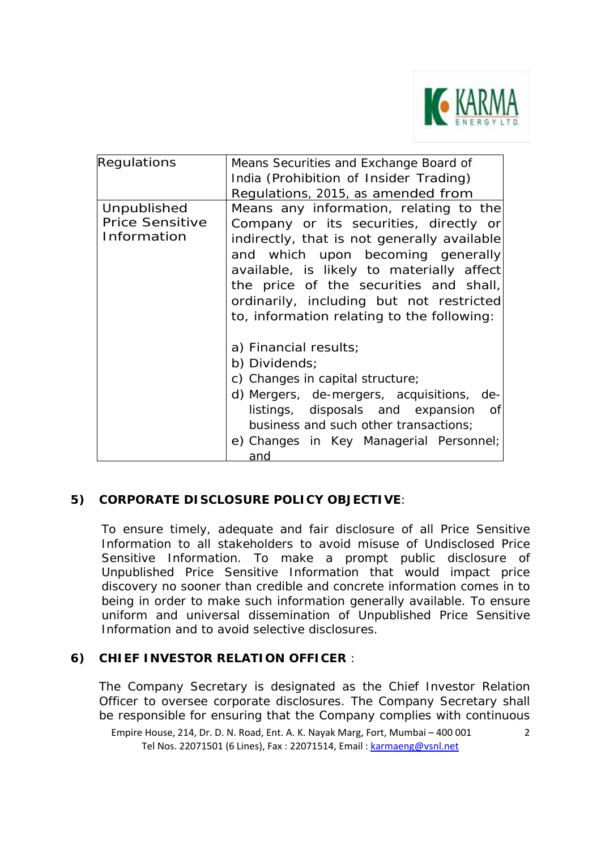

| Regulations            | Means Securities and Exchange Board of      |
|------------------------|---------------------------------------------|
|                        | India (Prohibition of Insider Trading)      |
|                        | Regulations, 2015, as amended from          |
| Unpublished            | Means any information, relating to the      |
| <b>Price Sensitive</b> | Company or its securities, directly or      |
| Information            | indirectly, that is not generally available |
|                        | and which upon becoming generally           |
|                        | available, is likely to materially affect   |
|                        | the price of the securities and shall,      |
|                        | ordinarily, including but not restricted    |
|                        | to, information relating to the following:  |
|                        | a) Financial results;                       |
|                        | b) Dividends;                               |
|                        | c) Changes in capital structure;            |
|                        | d) Mergers, de-mergers, acquisitions, de-   |
|                        | listings, disposals and expansion of        |
|                        | business and such other transactions;       |
|                        | e) Changes in Key Managerial Personnel;     |
|                        | and                                         |

# **5) CORPORATE DISCLOSURE POLICY OBJECTIVE**:

To ensure timely, adequate and fair disclosure of all Price Sensitive Information to all stakeholders to avoid misuse of Undisclosed Price Sensitive Information. To make a prompt public disclosure of Unpublished Price Sensitive Information that would impact price discovery no sooner than credible and concrete information comes in to being in order to make such information generally available. To ensure uniform and universal dissemination of Unpublished Price Sensitive Information and to avoid selective disclosures.

## **6) CHIEF INVESTOR RELATION OFFICER** :

The Company Secretary is designated as the Chief Investor Relation Officer to oversee corporate disclosures. The Company Secretary shall be responsible for ensuring that the Company complies with continuous

Empire House, 214, Dr. D. N. Road, Ent. A. K. Nayak Marg, Fort, Mumbai – 400 001 Tel Nos. 22071501 (6 Lines), Fax : 22071514, Email : karmaeng@vsnl.net

2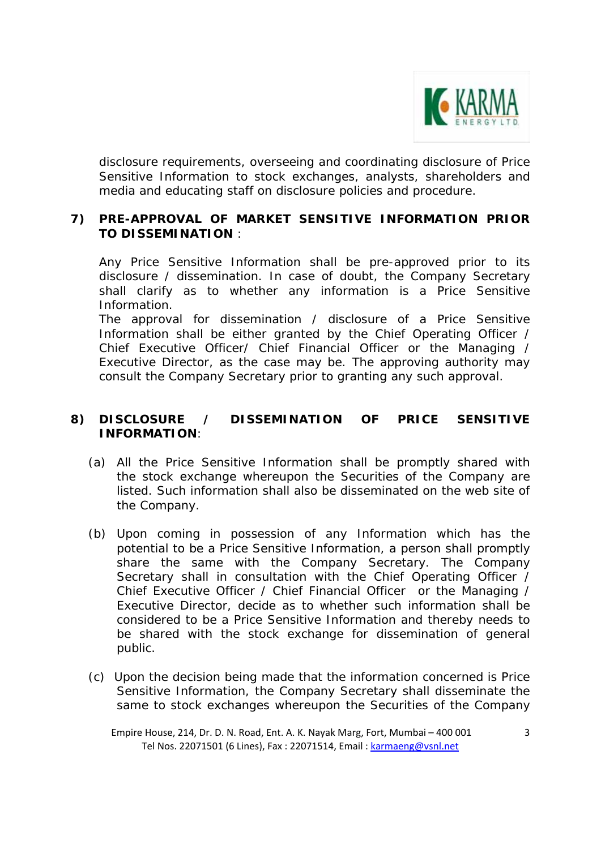

disclosure requirements, overseeing and coordinating disclosure of Price Sensitive Information to stock exchanges, analysts, shareholders and media and educating staff on disclosure policies and procedure.

#### **7) PRE-APPROVAL OF MARKET SENSITIVE INFORMATION PRIOR TO DISSEMINATION** :

Any Price Sensitive Information shall be pre-approved prior to its disclosure / dissemination. In case of doubt, the Company Secretary shall clarify as to whether any information is a Price Sensitive Information.

The approval for dissemination / disclosure of a Price Sensitive Information shall be either granted by the Chief Operating Officer / Chief Executive Officer/ Chief Financial Officer or the Managing / Executive Director, as the case may be. The approving authority may consult the Company Secretary prior to granting any such approval.

#### **8) DISCLOSURE / DISSEMINATION OF PRICE SENSITIVE INFORMATION**:

- (a) All the Price Sensitive Information shall be promptly shared with the stock exchange whereupon the Securities of the Company are listed. Such information shall also be disseminated on the web site of the Company.
- (b) Upon coming in possession of any Information which has the potential to be a Price Sensitive Information, a person shall promptly share the same with the Company Secretary. The Company Secretary shall in consultation with the Chief Operating Officer / Chief Executive Officer / Chief Financial Officer or the Managing / Executive Director, decide as to whether such information shall be considered to be a Price Sensitive Information and thereby needs to be shared with the stock exchange for dissemination of general public.
- (c) Upon the decision being made that the information concerned is Price Sensitive Information, the Company Secretary shall disseminate the same to stock exchanges whereupon the Securities of the Company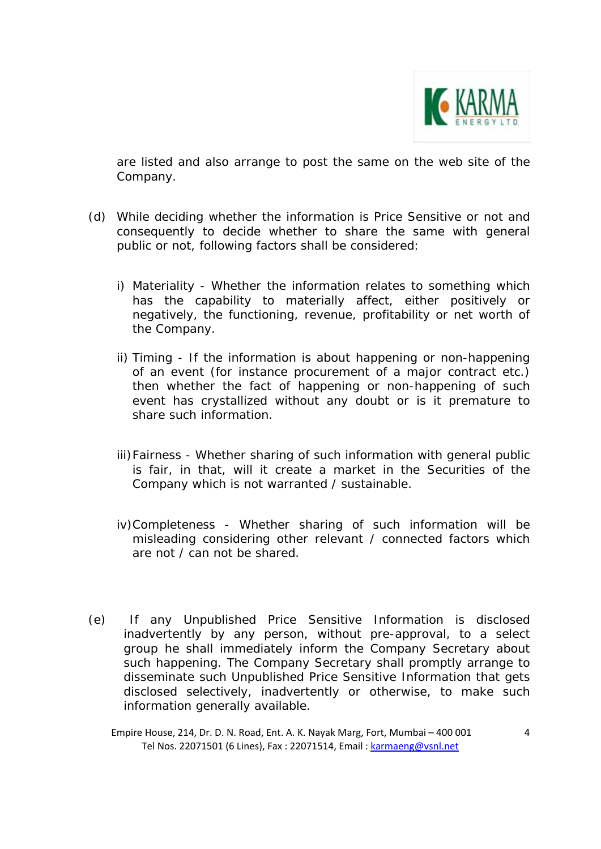

are listed and also arrange to post the same on the web site of the Company.

- (d) While deciding whether the information is Price Sensitive or not and consequently to decide whether to share the same with general public or not, following factors shall be considered:
	- i) Materiality Whether the information relates to something which has the capability to materially affect, either positively or negatively, the functioning, revenue, profitability or net worth of the Company.
	- ii) Timing If the information is about happening or non-happening of an event (for instance procurement of a major contract etc.) then whether the fact of happening or non-happening of such event has crystallized without any doubt or is it premature to share such information.
	- iii)Fairness Whether sharing of such information with general public is fair, in that, will it create a market in the Securities of the Company which is not warranted / sustainable.
	- iv)Completeness Whether sharing of such information will be misleading considering other relevant / connected factors which are not / can not be shared.
- (e) If any Unpublished Price Sensitive Information is disclosed inadvertently by any person, without pre-approval, to a select group he shall immediately inform the Company Secretary about such happening. The Company Secretary shall promptly arrange to disseminate such Unpublished Price Sensitive Information that gets disclosed selectively, inadvertently or otherwise, to make such information generally available.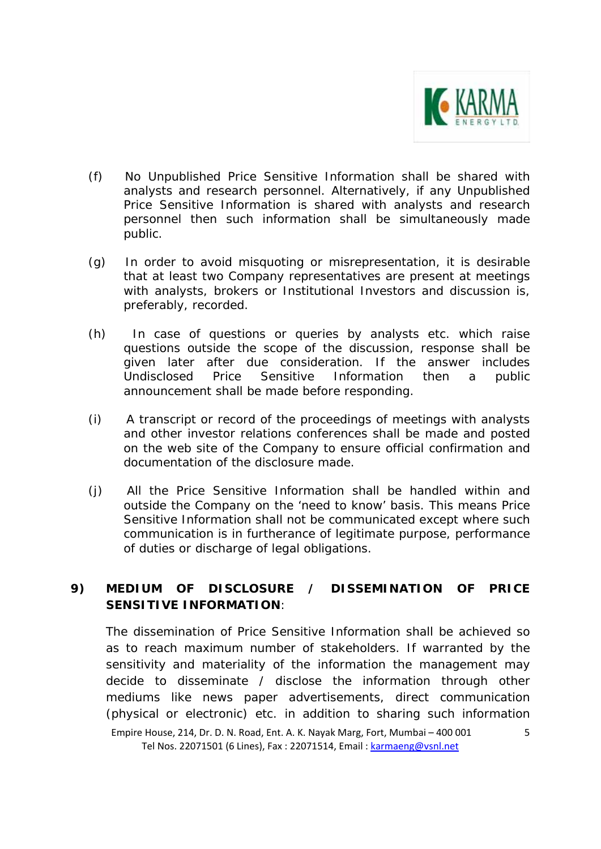

- (f) No Unpublished Price Sensitive Information shall be shared with analysts and research personnel. Alternatively, if any Unpublished Price Sensitive Information is shared with analysts and research personnel then such information shall be simultaneously made public.
- (g) In order to avoid misquoting or misrepresentation, it is desirable that at least two Company representatives are present at meetings with analysts, brokers or Institutional Investors and discussion is, preferably, recorded.
- (h) In case of questions or queries by analysts etc. which raise questions outside the scope of the discussion, response shall be given later after due consideration. If the answer includes Undisclosed Price Sensitive Information then a public announcement shall be made before responding.
- (i) A transcript or record of the proceedings of meetings with analysts and other investor relations conferences shall be made and posted on the web site of the Company to ensure official confirmation and documentation of the disclosure made.
- (j) All the Price Sensitive Information shall be handled within and outside the Company on the 'need to know' basis. This means Price Sensitive Information shall not be communicated except where such communication is in furtherance of legitimate purpose, performance of duties or discharge of legal obligations.

# **9) MEDIUM OF DISCLOSURE / DISSEMINATION OF PRICE SENSITIVE INFORMATION**:

The dissemination of Price Sensitive Information shall be achieved so as to reach maximum number of stakeholders. If warranted by the sensitivity and materiality of the information the management may decide to disseminate / disclose the information through other mediums like news paper advertisements, direct communication (physical or electronic) etc. in addition to sharing such information

Empire House, 214, Dr. D. N. Road, Ent. A. K. Nayak Marg, Fort, Mumbai – 400 001 Tel Nos. 22071501 (6 Lines), Fax : 22071514, Email : karmaeng@vsnl.net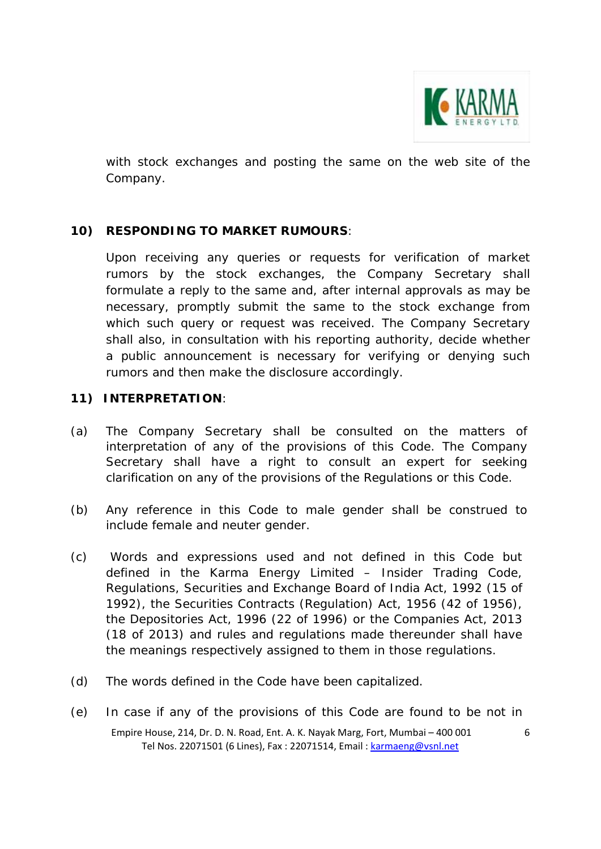

with stock exchanges and posting the same on the web site of the Company.

## **10) RESPONDING TO MARKET RUMOURS**:

Upon receiving any queries or requests for verification of market rumors by the stock exchanges, the Company Secretary shall formulate a reply to the same and, after internal approvals as may be necessary, promptly submit the same to the stock exchange from which such query or request was received. The Company Secretary shall also, in consultation with his reporting authority, decide whether a public announcement is necessary for verifying or denying such rumors and then make the disclosure accordingly.

#### **11) INTERPRETATION**:

- (a) The Company Secretary shall be consulted on the matters of interpretation of any of the provisions of this Code. The Company Secretary shall have a right to consult an expert for seeking clarification on any of the provisions of the Regulations or this Code.
- (b) Any reference in this Code to male gender shall be construed to include female and neuter gender.
- (c) Words and expressions used and not defined in this Code but defined in the Karma Energy Limited – Insider Trading Code, Regulations, Securities and Exchange Board of India Act, 1992 (15 of 1992), the Securities Contracts (Regulation) Act, 1956 (42 of 1956), the Depositories Act, 1996 (22 of 1996) or the Companies Act, 2013 (18 of 2013) and rules and regulations made thereunder shall have the meanings respectively assigned to them in those regulations.
- (d) The words defined in the Code have been capitalized.
- Empire House, 214, Dr. D. N. Road, Ent. A. K. Nayak Marg, Fort, Mumbai 400 001 Tel Nos. 22071501 (6 Lines), Fax : 22071514, Email : karmaeng@vsnl.net 6 (e) In case if any of the provisions of this Code are found to be not in